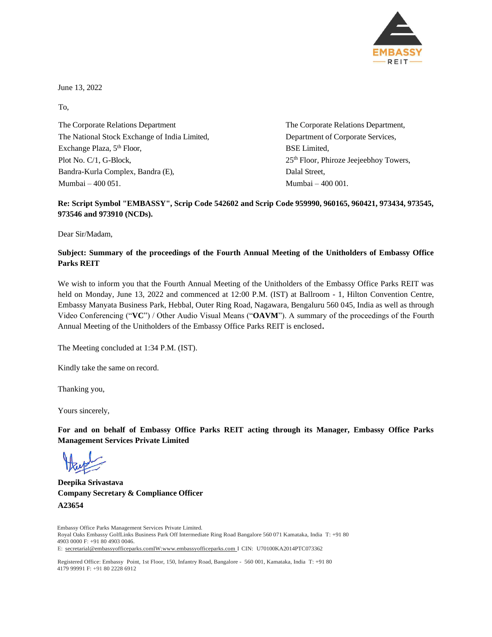

June 13, 2022

To,

The Corporate Relations Department The Corporate Relations Department, The National Stock Exchange of India Limited, Department of Corporate Services, Exchange Plaza, 5 Plot No. C/1, G-Block, 25<sup>th</sup> Floor, Phiroze Jeejeebhoy Towers, Bandra-Kurla Complex, Bandra (E), Dalal Street, Mumbai – 400 051. Mumbai – 400 001.

**BSE** Limited,

### **Re: Script Symbol "EMBASSY", Scrip Code 542602 and Scrip Code 959990, 960165, 960421, 973434, 973545, 973546 and 973910 (NCDs).**

Dear Sir/Madam,

### **Subject: Summary of the proceedings of the Fourth Annual Meeting of the Unitholders of Embassy Office Parks REIT**

We wish to inform you that the Fourth Annual Meeting of the Unitholders of the Embassy Office Parks REIT was held on Monday, June 13, 2022 and commenced at 12:00 P.M. (IST) at Ballroom - 1, Hilton Convention Centre, Embassy Manyata Business Park, Hebbal, Outer Ring Road, Nagawara, Bengaluru 560 045, India as well as through Video Conferencing ("**VC**") / Other Audio Visual Means ("**OAVM**"). A summary of the proceedings of the Fourth Annual Meeting of the Unitholders of the Embassy Office Parks REIT is enclosed**.**

The Meeting concluded at 1:34 P.M. (IST).

Kindly take the same on record.

Thanking you,

Yours sincerely,

**For and on behalf of Embassy Office Parks REIT acting through its Manager, Embassy Office Parks Management Services Private Limited**

**Deepika Srivastava Company Secretary & Compliance Officer A23654**

Embassy Office Parks Management Services Private Limited. Royal Oaks Embassy GolfLinks Business Park Off Intermediate Ring Road Bangalore 560 071 Kamataka, India T: +91 80 4903 0000 F: +91 80 4903 0046. E: [secretarial@embassyofficeparks.comIW:www.embassyofficeparks.com](http://www.embassyofficeparks.com/) I CIN: U70100KA2014PTC073362

Registered Office: Embassy Point, 1st Floor, 150, Infantry Road, Bangalore - 560 001, Kamataka, India T: +91 80 4179 99991 F: +91 80 2228 6912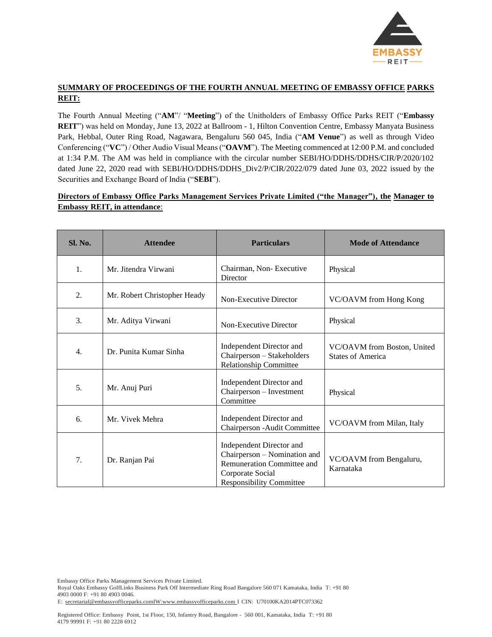

# **SUMMARY OF PROCEEDINGS OF THE FOURTH ANNUAL MEETING OF EMBASSY OFFICE PARKS REIT:**

The Fourth Annual Meeting ("**AM**"/ "**Meeting**") of the Unitholders of Embassy Office Parks REIT ("**Embassy REIT**") was held on Monday, June 13, 2022 at Ballroom - 1, Hilton Convention Centre, Embassy Manyata Business Park, Hebbal, Outer Ring Road, Nagawara, Bengaluru 560 045, India ("**AM Venue**") as well as through Video Conferencing ("**VC**") / Other Audio Visual Means ("**OAVM**"). The Meeting commenced at 12:00 P.M. and concluded at 1:34 P.M. The AM was held in compliance with the circular number SEBI/HO/DDHS/DDHS/CIR/P/2020/102 dated June 22, 2020 read with SEBI/HO/DDHS/DDHS\_Div2/P/CIR/2022/079 dated June 03, 2022 issued by the Securities and Exchange Board of India ("**SEBI**").

### **Directors of Embassy Office Parks Management Services Private Limited ("the Manager"), the Manager to Embassy REIT, in attendance**:

| Sl. No. | <b>Attendee</b>              | <b>Particulars</b>                                                                                                                            | <b>Mode of Attendance</b>                               |
|---------|------------------------------|-----------------------------------------------------------------------------------------------------------------------------------------------|---------------------------------------------------------|
| 1.      | Mr. Jitendra Virwani         | Chairman, Non-Executive<br>Director                                                                                                           | Physical                                                |
| 2.      | Mr. Robert Christopher Heady | Non-Executive Director                                                                                                                        | VC/OAVM from Hong Kong                                  |
| 3.      | Mr. Aditya Virwani           | Non-Executive Director                                                                                                                        | Physical                                                |
| 4.      | Dr. Punita Kumar Sinha       | Independent Director and<br>Chairperson - Stakeholders<br><b>Relationship Committee</b>                                                       | VC/OAVM from Boston, United<br><b>States of America</b> |
| 5.      | Mr. Anuj Puri                | Independent Director and<br>Chairperson - Investment<br>Committee                                                                             | Physical                                                |
| 6.      | Mr. Vivek Mehra              | Independent Director and<br>Chairperson - Audit Committee                                                                                     | VC/OAVM from Milan, Italy                               |
| 7.      | Dr. Ranjan Pai               | Independent Director and<br>Chairperson – Nomination and<br>Remuneration Committee and<br>Corporate Social<br><b>Responsibility Committee</b> | VC/OAVM from Bengaluru,<br>Karnataka                    |

Embassy Office Parks Management Services Private Limited.

Royal Oaks Embassy GolfLinks Business Park Off Intermediate Ring Road Bangalore 560 071 Kamataka, India T: +91 80 4903 0000 F: +91 80 4903 0046.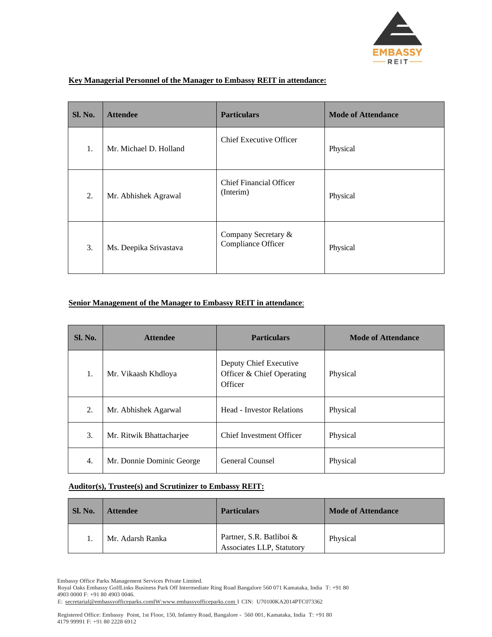

| <b>Sl. No.</b> | <b>Attendee</b>        | <b>Particulars</b>                          | <b>Mode of Attendance</b> |
|----------------|------------------------|---------------------------------------------|---------------------------|
| 1.             | Mr. Michael D. Holland | <b>Chief Executive Officer</b>              | Physical                  |
| 2.             | Mr. Abhishek Agrawal   | <b>Chief Financial Officer</b><br>(Interim) | Physical                  |
| 3.             | Ms. Deepika Srivastava | Company Secretary &<br>Compliance Officer   | Physical                  |

#### **Key Managerial Personnel of the Manager to Embassy REIT in attendance:**

## **Senior Management of the Manager to Embassy REIT in attendance**:

| <b>Sl. No.</b> | <b>Attendee</b>           | <b>Particulars</b>                                             | <b>Mode of Attendance</b> |
|----------------|---------------------------|----------------------------------------------------------------|---------------------------|
| 1.             | Mr. Vikaash Khdloya       | Deputy Chief Executive<br>Officer & Chief Operating<br>Officer | Physical                  |
| 2.             | Mr. Abhishek Agarwal      | <b>Head - Investor Relations</b>                               | Physical                  |
| 3.             | Mr. Ritwik Bhattacharjee  | <b>Chief Investment Officer</b>                                | Physical                  |
| 4.             | Mr. Donnie Dominic George | General Counsel                                                | Physical                  |

### **Auditor(s), Trustee(s) and Scrutinizer to Embassy REIT:**

| Sl. No. | <b>Attendee</b>  | <b>Particulars</b>                                    | <b>Mode of Attendance</b> |
|---------|------------------|-------------------------------------------------------|---------------------------|
|         | Mr. Adarsh Ranka | Partner, S.R. Batliboi &<br>Associates LLP, Statutory | Physical                  |

Embassy Office Parks Management Services Private Limited.

Royal Oaks Embassy GolfLinks Business Park Off Intermediate Ring Road Bangalore 560 071 Kamataka, India T: +91 80 4903 0000 F: +91 80 4903 0046.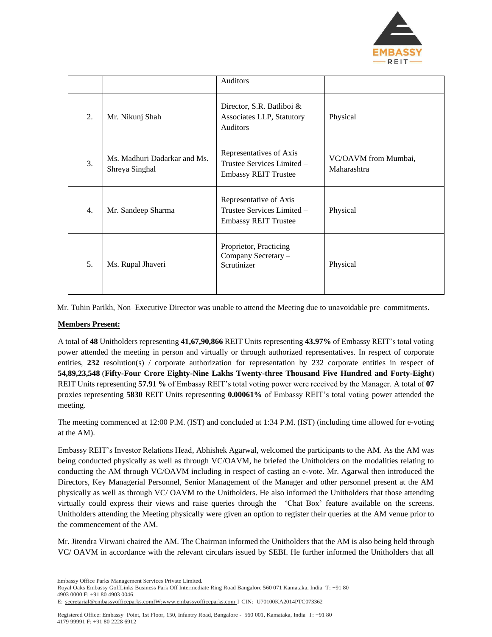

|    |                                                | Auditors                                                                             |                                     |
|----|------------------------------------------------|--------------------------------------------------------------------------------------|-------------------------------------|
| 2. | Mr. Nikunj Shah                                | Director, S.R. Batliboi $\&$<br>Associates LLP, Statutory<br><b>Auditors</b>         | Physical                            |
| 3. | Ms. Madhuri Dadarkar and Ms.<br>Shreya Singhal | Representatives of Axis<br>Trustee Services Limited -<br><b>Embassy REIT Trustee</b> | VC/OAVM from Mumbai,<br>Maharashtra |
| 4. | Mr. Sandeep Sharma                             | Representative of Axis<br>Trustee Services Limited -<br><b>Embassy REIT Trustee</b>  | Physical                            |
| 5. | Ms. Rupal Jhaveri                              | Proprietor, Practicing<br>Company Secretary -<br>Scrutinizer                         | Physical                            |

Mr. Tuhin Parikh, Non–Executive Director was unable to attend the Meeting due to unavoidable pre–commitments.

### **Members Present:**

A total of **48** Unitholders representing **41,67,90,866** REIT Units representing **43.97%** of Embassy REIT's total voting power attended the meeting in person and virtually or through authorized representatives. In respect of corporate entities, 232 resolution(s) / corporate authorization for representation by 232 corporate entities in respect of **54,89,23,548** (**Fifty-Four Crore Eighty-Nine Lakhs Twenty-three Thousand Five Hundred and Forty-Eight**) REIT Units representing **57.91 %** of Embassy REIT's total voting power were received by the Manager. A total of **07** proxies representing **5830** REIT Units representing **0.00061%** of Embassy REIT's total voting power attended the meeting.

The meeting commenced at 12:00 P.M. (IST) and concluded at 1:34 P.M. (IST) (including time allowed for e-voting at the AM).

Embassy REIT's Investor Relations Head, Abhishek Agarwal, welcomed the participants to the AM. As the AM was being conducted physically as well as through VC/OAVM, he briefed the Unitholders on the modalities relating to conducting the AM through VC/OAVM including in respect of casting an e-vote. Mr. Agarwal then introduced the Directors, Key Managerial Personnel, Senior Management of the Manager and other personnel present at the AM physically as well as through VC/ OAVM to the Unitholders. He also informed the Unitholders that those attending virtually could express their views and raise queries through the 'Chat Box' feature available on the screens. Unitholders attending the Meeting physically were given an option to register their queries at the AM venue prior to the commencement of the AM.

Mr. Jitendra Virwani chaired the AM. The Chairman informed the Unitholders that the AM is also being held through VC/ OAVM in accordance with the relevant circulars issued by SEBI. He further informed the Unitholders that all

Embassy Office Parks Management Services Private Limited.

Royal Oaks Embassy GolfLinks Business Park Off Intermediate Ring Road Bangalore 560 071 Kamataka, India T: +91 80 4903 0000 F: +91 80 4903 0046.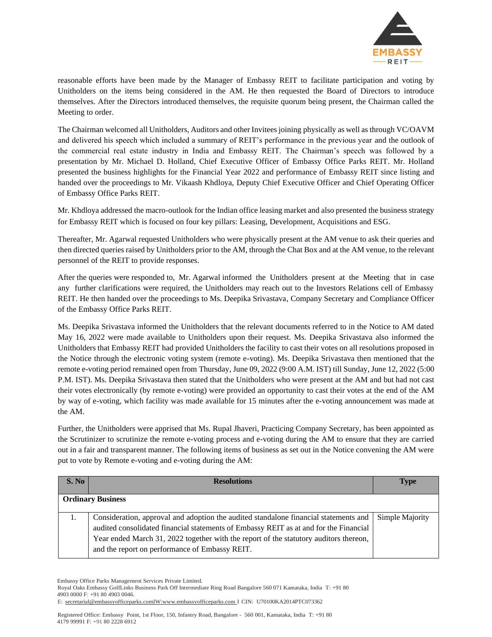

reasonable efforts have been made by the Manager of Embassy REIT to facilitate participation and voting by Unitholders on the items being considered in the AM. He then requested the Board of Directors to introduce themselves. After the Directors introduced themselves, the requisite quorum being present, the Chairman called the Meeting to order.

The Chairman welcomed all Unitholders, Auditors and other Invitees joining physically as well as through VC/OAVM and delivered his speech which included a summary of REIT's performance in the previous year and the outlook of the commercial real estate industry in India and Embassy REIT. The Chairman's speech was followed by a presentation by Mr. Michael D. Holland, Chief Executive Officer of Embassy Office Parks REIT. Mr. Holland presented the business highlights for the Financial Year 2022 and performance of Embassy REIT since listing and handed over the proceedings to Mr. Vikaash Khdloya, Deputy Chief Executive Officer and Chief Operating Officer of Embassy Office Parks REIT.

Mr. Khdloya addressed the macro-outlook for the Indian office leasing market and also presented the business strategy for Embassy REIT which is focused on four key pillars: Leasing, Development, Acquisitions and ESG.

Thereafter, Mr. Agarwal requested Unitholders who were physically present at the AM venue to ask their queries and then directed queries raised by Unitholders prior to the AM, through the Chat Box and at the AM venue, to the relevant personnel of the REIT to provide responses.

After the queries were responded to, Mr. Agarwal informed the Unitholders present at the Meeting that in case any further clarifications were required, the Unitholders may reach out to the Investors Relations cell of Embassy REIT. He then handed over the proceedings to Ms. Deepika Srivastava, Company Secretary and Compliance Officer of the Embassy Office Parks REIT.

Ms. Deepika Srivastava informed the Unitholders that the relevant documents referred to in the Notice to AM dated May 16, 2022 were made available to Unitholders upon their request. Ms. Deepika Srivastava also informed the Unitholders that Embassy REIT had provided Unitholders the facility to cast their votes on all resolutions proposed in the Notice through the electronic voting system (remote e-voting). Ms. Deepika Srivastava then mentioned that the remote e-voting period remained open from Thursday, June 09, 2022 (9:00 A.M. IST) till Sunday, June 12, 2022 (5:00 P.M. IST). Ms. Deepika Srivastava then stated that the Unitholders who were present at the AM and but had not cast their votes electronically (by remote e-voting) were provided an opportunity to cast their votes at the end of the AM by way of e-voting, which facility was made available for 15 minutes after the e-voting announcement was made at the AM.

Further, the Unitholders were apprised that Ms. Rupal Jhaveri, Practicing Company Secretary, has been appointed as the Scrutinizer to scrutinize the remote e-voting process and e-voting during the AM to ensure that they are carried out in a fair and transparent manner. The following items of business as set out in the Notice convening the AM were put to vote by Remote e-voting and e-voting during the AM:

| S. No | <b>Resolutions</b>                                                                                                                                                                                                                                                                                                       | <b>Type</b>     |
|-------|--------------------------------------------------------------------------------------------------------------------------------------------------------------------------------------------------------------------------------------------------------------------------------------------------------------------------|-----------------|
|       | <b>Ordinary Business</b>                                                                                                                                                                                                                                                                                                 |                 |
| 1.    | Consideration, approval and adoption the audited standalone financial statements and<br>audited consolidated financial statements of Embassy REIT as at and for the Financial<br>Year ended March 31, 2022 together with the report of the statutory auditors thereon,<br>and the report on performance of Embassy REIT. | Simple Majority |

Embassy Office Parks Management Services Private Limited.

Royal Oaks Embassy GolfLinks Business Park Off Intermediate Ring Road Bangalore 560 071 Kamataka, India T: +91 80 4903 0000 F: +91 80 4903 0046.

E: [secretarial@embassyofficeparks.comIW:www.embassyofficeparks.com](http://www.embassyofficeparks.com/) I CIN: U70100KA2014PTC073362